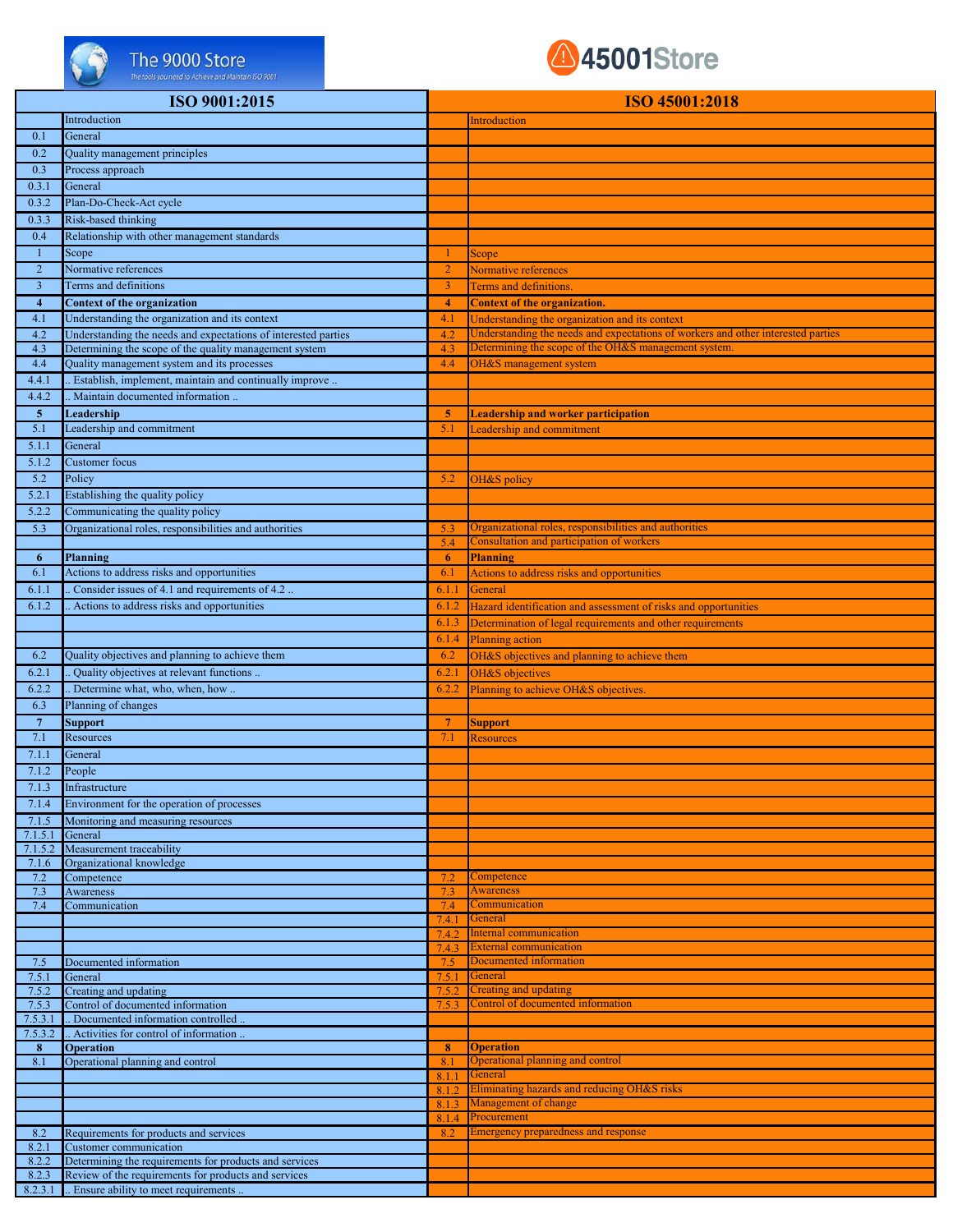

## The 9000 Store

## 45001Store

|                    | ISO 9001:2015                                                          |                | ISO 45001:2018                                                                   |
|--------------------|------------------------------------------------------------------------|----------------|----------------------------------------------------------------------------------|
|                    |                                                                        |                |                                                                                  |
|                    | Introduction                                                           |                | Introduction                                                                     |
| 0.1                | General                                                                |                |                                                                                  |
| 0.2                | Quality management principles                                          |                |                                                                                  |
| 0.3                | Process approach                                                       |                |                                                                                  |
| 0.3.1              | General                                                                |                |                                                                                  |
| 0.3.2              | Plan-Do-Check-Act cycle                                                |                |                                                                                  |
| 0.3.3              | Risk-based thinking                                                    |                |                                                                                  |
| 0.4                | Relationship with other management standards                           |                |                                                                                  |
| -1                 | Scope                                                                  |                | Scope                                                                            |
| $\sqrt{2}$         | Normative references                                                   | $\overline{2}$ | Normative references                                                             |
| $\overline{3}$     | Terms and definitions                                                  | 3              | <b>Terms and definitions.</b>                                                    |
| $\overline{4}$     | <b>Context of the organization</b>                                     | $\overline{4}$ | <b>Context of the organization.</b>                                              |
| 4.1                | Understanding the organization and its context                         | 4.1            | Understanding the organization and its context                                   |
| 4.2                | Understanding the needs and expectations of interested parties         | 4.2            | Understanding the needs and expectations of workers and other interested parties |
| 4.3                | Determining the scope of the quality management system                 | 4.3            | Determining the scope of the OH&S management system.                             |
| 4.4                | Quality management system and its processes                            | 4.4            | <b>OH&amp;S</b> management system                                                |
| 4.4.1              | . Establish, implement, maintain and continually improve               |                |                                                                                  |
| 4.4.2              | Maintain documented information                                        |                |                                                                                  |
| 5 <sub>5</sub>     | Leadership                                                             | 5              | <b>Leadership and worker participation</b>                                       |
| 5.1                | Leadership and commitment                                              | 5.1            | Leadership and commitment                                                        |
| 5.1.1              | General                                                                |                |                                                                                  |
| $5.1.\overline{2}$ | <b>Customer</b> focus                                                  |                |                                                                                  |
| 5.2                | Policy                                                                 | 5.2            | OH&S policy                                                                      |
| 5.2.1              | Establishing the quality policy                                        |                |                                                                                  |
| 5.2.2              | Communicating the quality policy                                       |                |                                                                                  |
| 5.3                | Organizational roles, responsibilities and authorities                 | 5.3            | Organizational roles, responsibilities and authorities                           |
|                    |                                                                        | 5.4            | Consultation and participation of workers                                        |
| 6                  | Planning                                                               | 6              | <b>Planning</b>                                                                  |
| 6.1                | Actions to address risks and opportunities                             | 6.1            | Actions to address risks and opportunities                                       |
| 6.1.1              | Consider issues of 4.1 and requirements of 4.2                         | 6.1.1          | General                                                                          |
| 6.1.2              | Actions to address risks and opportunities                             | 6.1.2          | Hazard identification and assessment of risks and opportunities                  |
|                    |                                                                        | 6.1.3          | Determination of legal requirements and other requirements                       |
|                    |                                                                        | 6.1.4          | <b>Planning</b> action                                                           |
| 6.2                | Quality objectives and planning to achieve them                        | 6.2            | OH&S objectives and planning to achieve them                                     |
| 6.2.1              | Quality objectives at relevant functions                               | 6.2.1          | OH&S objectives                                                                  |
| 6.2.2              | . Determine what, who, when, how                                       | 6.2.2          | Planning to achieve OH&S objectives                                              |
| 6.3                | Planning of changes                                                    |                |                                                                                  |
| $\overline{7}$     | <b>Support</b>                                                         | $\overline{7}$ | Support                                                                          |
| 7.1                | Resources                                                              | 7.1            | <b>Resources</b>                                                                 |
| 7.1.1              | General                                                                |                |                                                                                  |
| 7.1.2              | People                                                                 |                |                                                                                  |
| 7.1.3              | Infrastructure                                                         |                |                                                                                  |
| 7.1.4              | Environment for the operation of processes                             |                |                                                                                  |
| 7.1.5              | Monitoring and measuring resources                                     |                |                                                                                  |
| 7.1.5.1            | General                                                                |                |                                                                                  |
| 7.1.5.2            | Measurement traceability                                               |                |                                                                                  |
| 7.1.6              | Organizational knowledge                                               |                |                                                                                  |
| 7.2                | Competence                                                             | 7.2            | Competence<br><b>Awareness</b>                                                   |
| 7.3                | Awareness                                                              | 7.3<br>7.4     | Communication                                                                    |
| 7.4                | Communication                                                          | 7.4.1          | General                                                                          |
|                    |                                                                        | 7.4.2          | Internal communication                                                           |
|                    |                                                                        | 7.4.3          | <b>External communication</b>                                                    |
| 7.5                | Documented information                                                 | 7.5            | Documented information                                                           |
| 7.5.1              | General                                                                | 7.5.1          | General                                                                          |
| 7.5.2              | Creating and updating                                                  | 7.5.2          | <b>Creating and updating</b><br>Control of documented information                |
| 7.5.3<br>7.5.3.1   | Control of documented information<br>Documented information controlled | 7.5.3          |                                                                                  |
| 7.5.3.2            | Activities for control of information                                  |                |                                                                                  |
| 8                  | <b>Operation</b>                                                       | 8              | <b>Operation</b>                                                                 |
| 8.1                | Operational planning and control                                       | 8.1            | <b>Operational planning and control</b>                                          |
|                    |                                                                        | 8.1.1          | General                                                                          |
|                    |                                                                        | 8.1.2          | Eliminating hazards and reducing OH&S risks                                      |
|                    |                                                                        | 8.1.3          | Management of change                                                             |
| 8.2                | Requirements for products and services                                 | 8.1.4<br>8.2   | Procurement<br><b>Emergency preparedness and response</b>                        |
| 8.2.1              | Customer communication                                                 |                |                                                                                  |
| 8.2.2              | Determining the requirements for products and services                 |                |                                                                                  |
| 8.2.3              | Review of the requirements for products and services                   |                |                                                                                  |
|                    | 8231 Engure ability to meet requirements                               |                |                                                                                  |